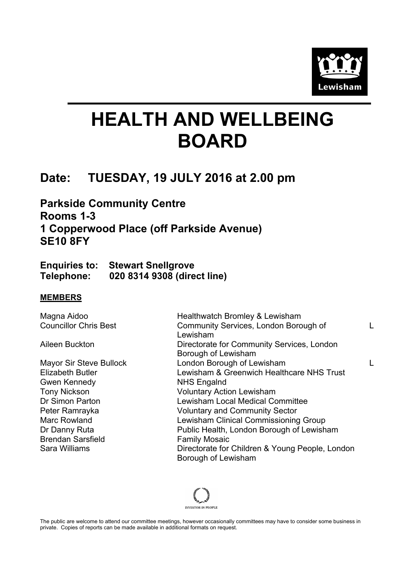

# **HEALTH AND WELLBEING BOARD**

## **Date: TUESDAY, 19 JULY 2016 at 2.00 pm**

**Parkside Community Centre Rooms 1-3 1 Copperwood Place (off Parkside Avenue) SE10 8FY**

|            | <b>Enquiries to: Stewart Snellgrove</b> |
|------------|-----------------------------------------|
| Telephone: | 020 8314 9308 (direct line)             |

#### **MEMBERS**

Gwen Kennedy NHS Engalnd Brendan Sarsfield Family Mosaic

Magna Aidoo **Healthwatch Bromley & Lewisham** Councillor Chris Best Community Services, London Borough of Lewisham L Aileen Buckton **Directorate for Community Services, London** Borough of Lewisham Mayor Sir Steve Bullock London Borough of Lewisham L Elizabeth Butler Lewisham & Greenwich Healthcare NHS Trust Tony Nickson Voluntary Action Lewisham Dr Simon Parton Lewisham Local Medical Committee Peter Ramrayka Voluntary and Community Sector Marc Rowland Lewisham Clinical Commissioning Group Dr Danny Ruta **Public Health, London Borough of Lewisham** Sara Williams **Directorate for Children & Young People, London** Borough of Lewisham



The public are welcome to attend our committee meetings, however occasionally committees may have to consider some business in private. Copies of reports can be made available in additional formats on request.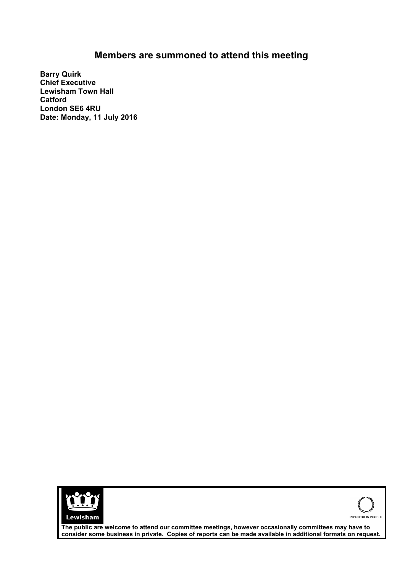### **Members are summoned to attend this meeting**

**Barry Quirk Chief Executive Lewisham Town Hall Catford London SE6 4RU Date: Monday, 11 July 2016**





**The public are welcome to attend our committee meetings, however occasionally committees may have to consider some business in private. Copies of reports can be made available in additional formats on request.**